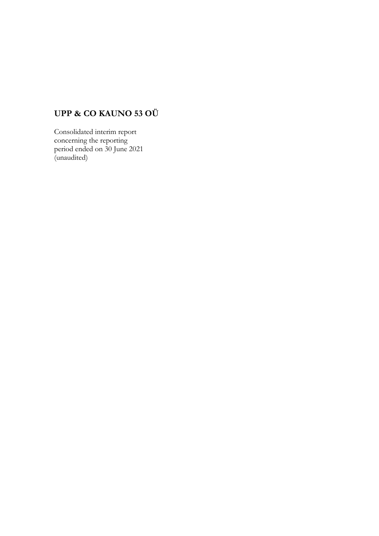# **UPP & CO KAUNO 53 OÜ**

Consolidated interim report concerning the reporting period ended on 30 June 2021 (unaudited)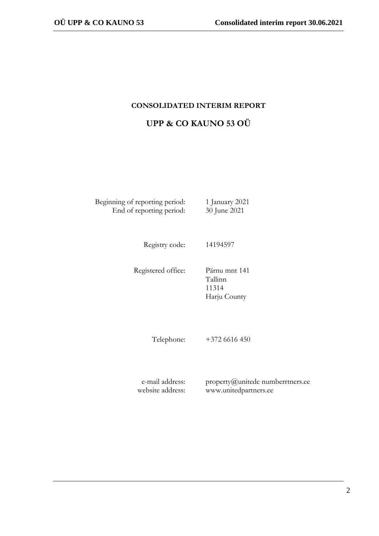## **CONSOLIDATED INTERIM REPORT**

|  |  | UPP & CO KAUNO 53 OÜ |  |
|--|--|----------------------|--|
|  |  |                      |  |

Beginning of reporting period: 1 January 2021 End of reporting period: 30 June 2021

Registry code: 14194597

Registered office: Pärnu mnt 141

Tallinn 11314 Harju County

Telephone: +372 6616 450

e-mail address: website address: property@unitede numberrtners.ee www.unitedpartners.ee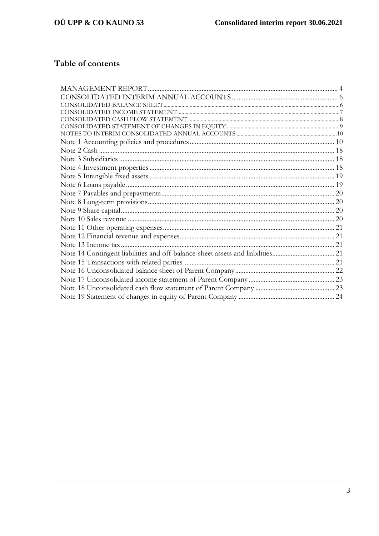# Table of contents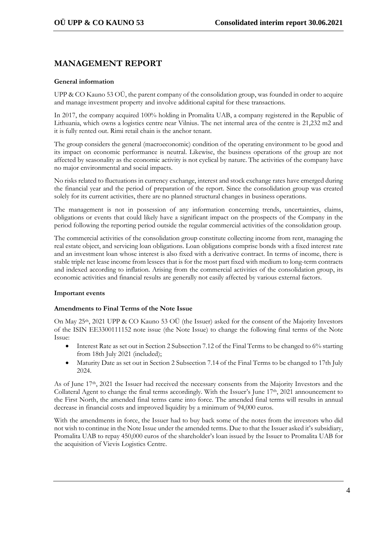# **MANAGEMENT REPORT**

## **General information**

UPP & CO Kauno 53 OÜ, the parent company of the consolidation group, was founded in order to acquire and manage investment property and involve additional capital for these transactions.

In 2017, the company acquired 100% holding in Promalita UAB, a company registered in the Republic of Lithuania, which owns a logistics centre near Vilnius. The net internal area of the centre is 21,232 m2 and it is fully rented out. Rimi retail chain is the anchor tenant.

The group considers the general (macroeconomic) condition of the operating environment to be good and its impact on economic performance is neutral. Likewise, the business operations of the group are not affected by seasonality as the economic activity is not cyclical by nature. The activities of the company have no major environmental and social impacts.

No risks related to fluctuations in currency exchange, interest and stock exchange rates have emerged during the financial year and the period of preparation of the report. Since the consolidation group was created solely for its current activities, there are no planned structural changes in business operations.

The management is not in possession of any information concerning trends, uncertainties, claims, obligations or events that could likely have a significant impact on the prospects of the Company in the period following the reporting period outside the regular commercial activities of the consolidation group.

The commercial activities of the consolidation group constitute collecting income from rent, managing the real estate object, and servicing loan obligations. Loan obligations comprise bonds with a fixed interest rate and an investment loan whose interest is also fixed with a derivative contract. In terms of income, there is stable triple net lease income from lessees that is for the most part fixed with medium to long-term contracts and indexed according to inflation. Arising from the commercial activities of the consolidation group, its economic activities and financial results are generally not easily affected by various external factors.

## **Important events**

## **Amendments to Final Terms of the Note Issue**

On May 25th, 2021 UPP & CO Kauno 53 OÜ (the Issuer) asked for the consent of the Majority Investors of the ISIN EE3300111152 note issue (the Note Issue) to change the following final terms of the Note Issue:

- Interest Rate as set out in Section 2 Subsection 7.12 of the Final Terms to be changed to 6% starting from 18th July 2021 (included);
- Maturity Date as set out in Section 2 Subsection 7.14 of the Final Terms to be changed to 17th July 2024.

As of June 17th, 2021 the Issuer had received the necessary consents from the Majority Investors and the Collateral Agent to change the final terms accordingly. With the Issuer's June 17th, 2021 announcement to the First North, the amended final terms came into force. The amended final terms will results in annual decrease in financial costs and improved liquidity by a minimum of 94,000 euros.

With the amendments in force, the Issuer had to buy back some of the notes from the investors who did not wish to continue in the Note Issue under the amended terms. Due to that the Issuer asked it's subsidiary, Promalita UAB to repay 450,000 euros of the shareholder's loan issued by the Issuer to Promalita UAB for the acquisition of Vievis Logistics Centre.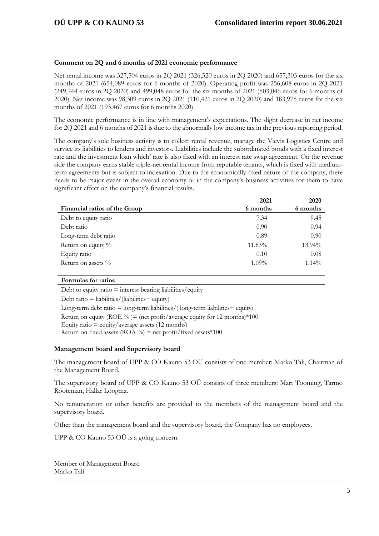## **Comment on 2Q and 6 months of 2021 economic performance**

Net rental income was 327,504 euros in 2Q 2021 (326,520 euros in 2Q 2020) and 657,303 euros for the six months of 2021 (654,089 euros for 6 months of 2020). Operating profit was 256,608 euros in 2Q 2021 (249,744 euros in 2Q 2020) and 499,048 euros for the six months of 2021 (503,046 euros for 6 months of 2020). Net income was 98,309 euros in 2Q 2021 (110,421 euros in 2Q 2020) and 183,975 euros for the six months of 2021 (193,467 euros for 6 months 2020).

The economic performance is in line with management's expectations. The slight decrease in net income for 2Q 2021 and 6 months of 2021 is due to the abnormally low income tax in the previous reporting period.

The company's sole business activity is to collect rental revenue, manage the Vievis Logistics Centre and service its liabilities to lenders and investors. Liabilities include the subordinated bonds with a fixed interest rate and the investment loan which' rate is also fixed with an interest rate swap agreement. On the revenue side the company earns stable triple-net rental income from reputable tenants, which is fixed with mediumterm agreements but is subject to indexation. Due to the economically fixed nature of the company, there needs to be major event in the overall economy or in the company's business activities for them to have significant effect on the company's financial results.

|                               | 2021     | 2020     |
|-------------------------------|----------|----------|
| Financial ratios of the Group | 6 months | 6 months |
| Debt to equity ratio          | 7.34     | 9.45     |
| Debt ratio                    | 0.90     | 0.94     |
| Long-term debt ratio          | 0.89     | 0.90     |
| Return on equity %            | 11.83%   | 13.94%   |
| Equity ratio                  | 0.10     | 0.08     |
| Return on assets $\%$         | $1.09\%$ | $1.14\%$ |

#### **Formulas for ratios**

Debt to equity ratio  $=$  interest bearing liabilities/equity Debt ratio = liabilities/(liabilities+ equity) Long-term debt ratio  $=$  long-term liabilities/(long-term liabilities  $+$  equity) Return on equity (ROE %) = (net profit/average equity for 12 months)  $*100$ Equity ratio  $=$  equity/average assets (12 months) Return on fixed assets (ROA %) = net profit/fixed assets \*100

#### **Management board and Supervisory board**

The management board of UPP & CO Kauno 53 OÜ consists of one member: Marko Tali, Chairman of the Management Board.

The supervisory board of UPP & CO Kauno 53 OÜ consists of three members: Mart Tooming, Tarmo Rooteman, Hallar Loogma.

No remuneration or other benefits are provided to the members of the management board and the supervisory board.

Other than the management board and the supervisory board, the Company has no employees.

UPP & CO Kauno 53 OÜ is a going concern.

Member of Management Board Marko Tali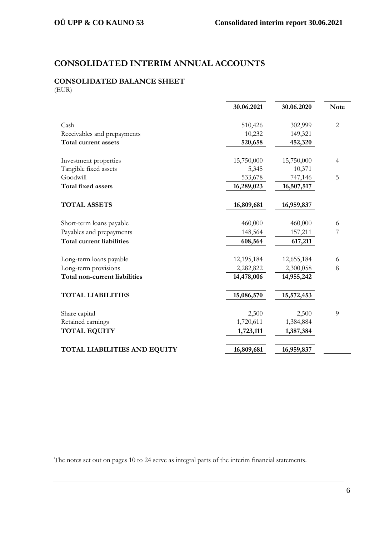# **CONSOLIDATED INTERIM ANNUAL ACCOUNTS**

# **CONSOLIDATED BALANCE SHEET**

(EUR)

|                                  | 30.06.2021 | 30.06.2020 | <b>Note</b>    |
|----------------------------------|------------|------------|----------------|
|                                  |            |            |                |
| Cash                             | 510,426    | 302,999    | $\overline{2}$ |
| Receivables and prepayments      | 10,232     | 149,321    |                |
| Total current assets             | 520,658    | 452,320    |                |
|                                  |            |            |                |
| Investment properties            | 15,750,000 | 15,750,000 | 4              |
| Tangible fixed assets            | 5,345      | 10,371     |                |
| Goodwill                         | 533,678    | 747,146    | 5              |
| <b>Total fixed assets</b>        | 16,289,023 | 16,507,517 |                |
|                                  |            |            |                |
| <b>TOTAL ASSETS</b>              | 16,809,681 | 16,959,837 |                |
|                                  |            |            |                |
| Short-term loans payable         | 460,000    | 460,000    | 6              |
| Payables and prepayments         | 148,564    | 157,211    | 7              |
| <b>Total current liabilities</b> | 608,564    | 617,211    |                |
|                                  |            |            |                |
| Long-term loans payable          | 12,195,184 | 12,655,184 | 6              |
| Long-term provisions             | 2,282,822  | 2,300,058  | 8              |
| Total non-current liabilities    | 14,478,006 | 14,955,242 |                |
|                                  |            |            |                |
| <b>TOTAL LIABILITIES</b>         | 15,086,570 | 15,572,453 |                |
|                                  |            |            |                |
| Share capital                    | 2,500      | 2,500      | 9              |
| Retained earnings                | 1,720,611  | 1,384,884  |                |
| <b>TOTAL EQUITY</b>              | 1,723,111  | 1,387,384  |                |
|                                  |            |            |                |
| TOTAL LIABILITIES AND EQUITY     | 16,809,681 | 16,959,837 |                |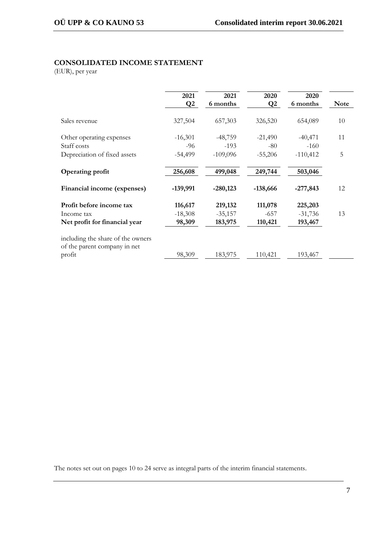## **CONSOLIDATED INCOME STATEMENT**

(EUR), per year

|                                                                             | 2021<br>Q <sub>2</sub> | 2021<br>6 months     | 2020<br>$\mathbf{Q}2$ | 2020<br>6 months     | <b>Note</b> |
|-----------------------------------------------------------------------------|------------------------|----------------------|-----------------------|----------------------|-------------|
| Sales revenue                                                               | 327,504                | 657,303              | 326,520               | 654,089              | 10          |
| Other operating expenses<br>Staff costs                                     | $-16,301$<br>$-96$     | $-48,759$<br>$-193$  | $-21,490$<br>$-80$    | $-40,471$<br>$-160$  | 11          |
| Depreciation of fixed assets                                                | $-54,499$              | $-109,096$           | $-55,206$             | $-110,412$           | 5           |
| <b>Operating profit</b>                                                     | 256,608                | 499,048              | 249,744               | 503,046              |             |
| Financial income (expenses)                                                 | $-139,991$             | $-280,123$           | $-138,666$            | $-277,843$           | 12          |
| Profit before income tax                                                    | 116,617                | 219,132              | 111,078               | 225,203              |             |
| Income tax<br>Net profit for financial year                                 | $-18,308$<br>98,309    | $-35,157$<br>183,975 | $-657$<br>110,421     | $-31,736$<br>193,467 | 13          |
| including the share of the owners<br>of the parent company in net<br>profit | 98,309                 | 183,975              | 110,421               | 193,467              |             |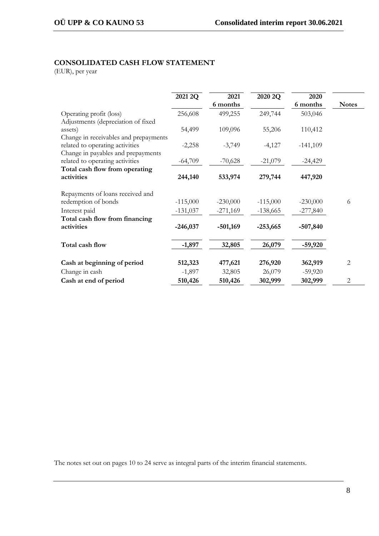## **CONSOLIDATED CASH FLOW STATEMENT**

(EUR), per year

|                                                                       | 2021 2Q    | 2021<br>6 months | 2020 2Q    | 2020<br>6 months | <b>Notes</b> |
|-----------------------------------------------------------------------|------------|------------------|------------|------------------|--------------|
| Operating profit (loss)<br>Adjustments (depreciation of fixed         | 256,608    | 499,255          | 249,744    | 503,046          |              |
| assets)<br>Change in receivables and prepayments                      | 54,499     | 109,096          | 55,206     | 110,412          |              |
| related to operating activities<br>Change in payables and prepayments | $-2,258$   | $-3,749$         | $-4,127$   | $-141,109$       |              |
| related to operating activities                                       | $-64,709$  | $-70,628$        | $-21,079$  | $-24,429$        |              |
| Total cash flow from operating                                        |            |                  |            |                  |              |
| activities                                                            | 244,140    | 533,974          | 279,744    | 447,920          |              |
| Repayments of loans received and                                      |            |                  |            |                  |              |
| redemption of bonds                                                   | $-115,000$ | $-230,000$       | $-115,000$ | $-230,000$       | 6            |
| Interest paid                                                         | $-131,037$ | $-271,169$       | $-138,665$ | $-277,840$       |              |
| Total cash flow from financing                                        |            |                  |            |                  |              |
| activities                                                            | $-246,037$ | $-501,169$       | $-253,665$ | $-507,840$       |              |
| Total cash flow                                                       | $-1,897$   | 32,805           | 26,079     | $-59,920$        |              |
| Cash at beginning of period                                           | 512,323    | 477,621          | 276,920    | 362,919          | 2            |
| Change in cash                                                        | $-1,897$   | 32,805           | 26,079     | $-59,920$        |              |
| Cash at end of period                                                 | 510,426    | 510,426          | 302,999    | 302,999          | 2            |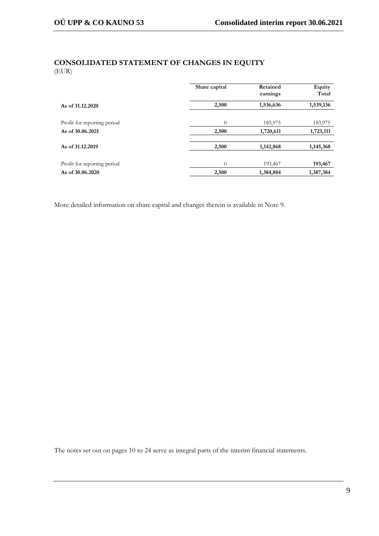## **CONSOLIDATED STATEMENT OF CHANGES IN EQUITY** (EUR)

|                             | Share capital  | Retained<br>earnings | Equity<br>Total |
|-----------------------------|----------------|----------------------|-----------------|
| As of 31,12,2020            | 2,500          | 1,536,636            | 1,539,136       |
|                             |                |                      |                 |
| Profit for reporting period | $\overline{0}$ | 183,975              | 183,975         |
| As of 30,06,2021            | 2,500          | 1,720,611            | 1,723,111       |
|                             |                |                      |                 |
| As of 31,12,2019            | 2,500          | 1,142,868            | 1,145,368       |
|                             |                |                      |                 |
| Profit for reporting period | $\overline{0}$ | 193,467              | 193,467         |
| As of 30.06.2020            | 2,500          | 1,384,884            | 1,387,384       |

More detailed information on share capital and changes therein is available in Note 9.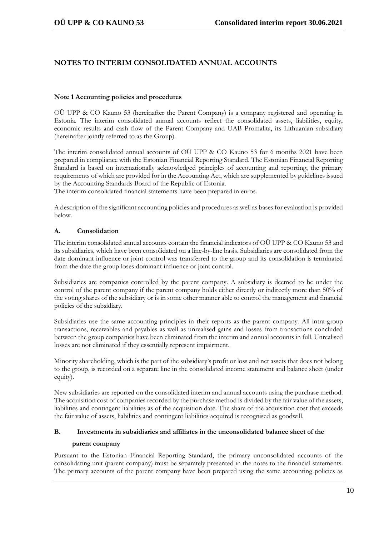## **NOTES TO INTERIM CONSOLIDATED ANNUAL ACCOUNTS**

## **Note 1 Accounting policies and procedures**

OÜ UPP & CO Kauno 53 (hereinafter the Parent Company) is a company registered and operating in Estonia. The interim consolidated annual accounts reflect the consolidated assets, liabilities, equity, economic results and cash flow of the Parent Company and UAB Promalita, its Lithuanian subsidiary (hereinafter jointly referred to as the Group).

The interim consolidated annual accounts of OÜ UPP & CO Kauno 53 for 6 months 2021 have been prepared in compliance with the Estonian Financial Reporting Standard. The Estonian Financial Reporting Standard is based on internationally acknowledged principles of accounting and reporting, the primary requirements of which are provided for in the Accounting Act, which are supplemented by guidelines issued by the Accounting Standards Board of the Republic of Estonia.

The interim consolidated financial statements have been prepared in euros.

A description of the significant accounting policies and procedures as well as bases for evaluation is provided below.

## **A. Consolidation**

The interim consolidated annual accounts contain the financial indicators of OÜ UPP & CO Kauno 53 and its subsidiaries, which have been consolidated on a line-by-line basis. Subsidiaries are consolidated from the date dominant influence or joint control was transferred to the group and its consolidation is terminated from the date the group loses dominant influence or joint control.

Subsidiaries are companies controlled by the parent company. A subsidiary is deemed to be under the control of the parent company if the parent company holds either directly or indirectly more than 50% of the voting shares of the subsidiary or is in some other manner able to control the management and financial policies of the subsidiary.

Subsidiaries use the same accounting principles in their reports as the parent company. All intra-group transactions, receivables and payables as well as unrealised gains and losses from transactions concluded between the group companies have been eliminated from the interim and annual accounts in full. Unrealised losses are not eliminated if they essentially represent impairment.

Minority shareholding, which is the part of the subsidiary's profit or loss and net assets that does not belong to the group, is recorded on a separate line in the consolidated income statement and balance sheet (under equity).

New subsidiaries are reported on the consolidated interim and annual accounts using the purchase method. The acquisition cost of companies recorded by the purchase method is divided by the fair value of the assets, liabilities and contingent liabilities as of the acquisition date. The share of the acquisition cost that exceeds the fair value of assets, liabilities and contingent liabilities acquired is recognised as goodwill.

## **B. Investments in subsidiaries and affiliates in the unconsolidated balance sheet of the**

## **parent company**

Pursuant to the Estonian Financial Reporting Standard, the primary unconsolidated accounts of the consolidating unit (parent company) must be separately presented in the notes to the financial statements. The primary accounts of the parent company have been prepared using the same accounting policies as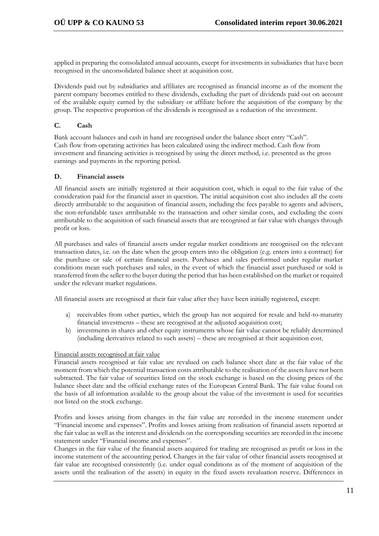applied in preparing the consolidated annual accounts, except for investments in subsidiaries that have been recognised in the unconsolidated balance sheet at acquisition cost.

Dividends paid out by subsidiaries and affiliates are recognised as financial income as of the moment the parent company becomes entitled to these dividends, excluding the part of dividends paid out on account of the available equity earned by the subsidiary or affiliate before the acquisition of the company by the group. The respective proportion of the dividends is recognised as a reduction of the investment.

## **C. Cash**

Bank account balances and cash in hand are recognised under the balance sheet entry "Cash". Cash flow from operating activities has been calculated using the indirect method. Cash flow from investment and financing activities is recognised by using the direct method, i.e. presented as the gross earnings and payments in the reporting period.

## **D. Financial assets**

All financial assets are initially registered at their acquisition cost, which is equal to the fair value of the consideration paid for the financial asset in question. The initial acquisition cost also includes all the costs directly attributable to the acquisition of financial assets, including the fees payable to agents and advisers, the non-refundable taxes attributable to the transaction and other similar costs, and excluding the costs attributable to the acquisition of such financial assets that are recognised at fair value with changes through profit or loss.

All purchases and sales of financial assets under regular market conditions are recognised on the relevant transaction dates, i.e. on the date when the group enters into the obligation (e.g. enters into a contract) for the purchase or sale of certain financial assets. Purchases and sales performed under regular market conditions mean such purchases and sales, in the event of which the financial asset purchased or sold is transferred from the seller to the buyer during the period that has been established on the market or required under the relevant market regulations.

All financial assets are recognised at their fair value after they have been initially registered, except:

- a) receivables from other parties, which the group has not acquired for resale and held-to-maturity financial investments – these are recognised at the adjusted acquisition cost;
- b) investments in shares and other equity instruments whose fair value cannot be reliably determined (including derivatives related to such assets) – these are recognised at their acquisition cost.

## Financial assets recognised at fair value

Financial assets recognised at fair value are revalued on each balance sheet date at the fair value of the moment from which the potential transaction costs attributable to the realisation of the assets have not been subtracted. The fair value of securities listed on the stock exchange is based on the closing prices of the balance sheet date and the official exchange rates of the European Central Bank. The fair value found on the basis of all information available to the group about the value of the investment is used for securities not listed on the stock exchange.

Profits and losses arising from changes in the fair value are recorded in the income statement under "Financial income and expenses". Profits and losses arising from realisation of financial assets reported at the fair value as well as the interest and dividends on the corresponding securities are recorded in the income statement under "Financial income and expenses".

Changes in the fair value of the financial assets acquired for trading are recognised as profit or loss in the income statement of the accounting period. Changes in the fair value of other financial assets recognised at fair value are recognised consistently (i.e. under equal conditions as of the moment of acquisition of the assets until the realisation of the assets) in equity in the fixed assets revaluation reserve. Differences in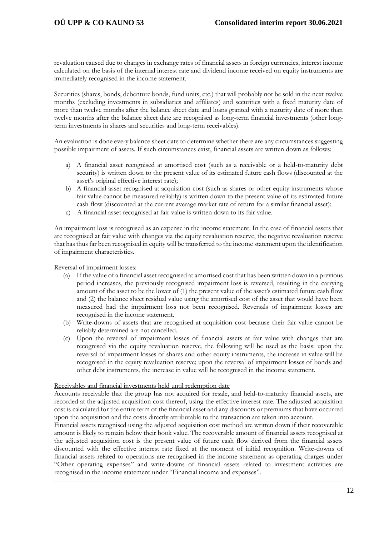revaluation caused due to changes in exchange rates of financial assets in foreign currencies, interest income calculated on the basis of the internal interest rate and dividend income received on equity instruments are immediately recognised in the income statement.

Securities (shares, bonds, debenture bonds, fund units, etc.) that will probably not be sold in the next twelve months (excluding investments in subsidiaries and affiliates) and securities with a fixed maturity date of more than twelve months after the balance sheet date and loans granted with a maturity date of more than twelve months after the balance sheet date are recognised as long-term financial investments (other longterm investments in shares and securities and long-term receivables).

An evaluation is done every balance sheet date to determine whether there are any circumstances suggesting possible impairment of assets. If such circumstances exist, financial assets are written down as follows:

- a) A financial asset recognised at amortised cost (such as a receivable or a held-to-maturity debt security) is written down to the present value of its estimated future cash flows (discounted at the asset's original effective interest rate);
- b) A financial asset recognised at acquisition cost (such as shares or other equity instruments whose fair value cannot be measured reliably) is written down to the present value of its estimated future cash flow (discounted at the current average market rate of return for a similar financial asset);
- c) A financial asset recognised at fair value is written down to its fair value.

An impairment loss is recognised as an expense in the income statement. In the case of financial assets that are recognised at fair value with changes via the equity revaluation reserve, the negative revaluation reserve that has thus far been recognised in equity will be transferred to the income statement upon the identification of impairment characteristics.

Reversal of impairment losses:

- (a) If the value of a financial asset recognised at amortised cost that has been written down in a previous period increases, the previously recognised impairment loss is reversed, resulting in the carrying amount of the asset to be the lower of (1) the present value of the asset's estimated future cash flow and (2) the balance sheet residual value using the amortised cost of the asset that would have been measured had the impairment loss not been recognised. Reversals of impairment losses are recognised in the income statement.
- (b) Write-downs of assets that are recognised at acquisition cost because their fair value cannot be reliably determined are not cancelled.
- (c) Upon the reversal of impairment losses of financial assets at fair value with changes that are recognised via the equity revaluation reserve, the following will be used as the basis: upon the reversal of impairment losses of shares and other equity instruments, the increase in value will be recognised in the equity revaluation reserve; upon the reversal of impairment losses of bonds and other debt instruments, the increase in value will be recognised in the income statement.

## Receivables and financial investments held until redemption date

Accounts receivable that the group has not acquired for resale, and held-to-maturity financial assets, are recorded at the adjusted acquisition cost thereof, using the effective interest rate. The adjusted acquisition cost is calculated for the entire term of the financial asset and any discounts or premiums that have occurred upon the acquisition and the costs directly attributable to the transaction are taken into account.

Financial assets recognised using the adjusted acquisition cost method are written down if their recoverable amount is likely to remain below their book value. The recoverable amount of financial assets recognised at the adjusted acquisition cost is the present value of future cash flow derived from the financial assets discounted with the effective interest rate fixed at the moment of initial recognition. Write-downs of financial assets related to operations are recognised in the income statement as operating charges under "Other operating expenses" and write-downs of financial assets related to investment activities are recognised in the income statement under "Financial income and expenses".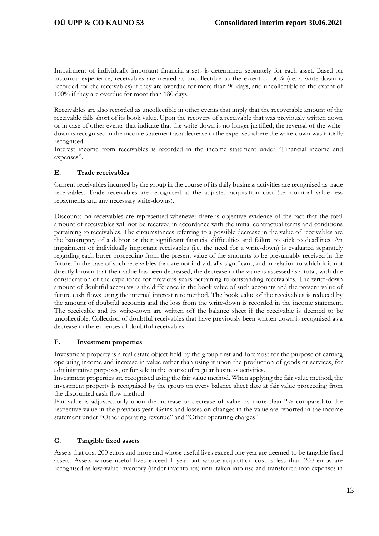Impairment of individually important financial assets is determined separately for each asset. Based on historical experience, receivables are treated as uncollectible to the extent of 50% (i.e. a write-down is recorded for the receivables) if they are overdue for more than 90 days, and uncollectible to the extent of 100% if they are overdue for more than 180 days.

Receivables are also recorded as uncollectible in other events that imply that the recoverable amount of the receivable falls short of its book value. Upon the recovery of a receivable that was previously written down or in case of other events that indicate that the write-down is no longer justified, the reversal of the writedown is recognised in the income statement as a decrease in the expenses where the write-down was initially recognised.

Interest income from receivables is recorded in the income statement under "Financial income and expenses".

## **E. Trade receivables**

Current receivables incurred by the group in the course of its daily business activities are recognised as trade receivables. Trade receivables are recognised at the adjusted acquisition cost (i.e. nominal value less repayments and any necessary write-downs).

Discounts on receivables are represented whenever there is objective evidence of the fact that the total amount of receivables will not be received in accordance with the initial contractual terms and conditions pertaining to receivables. The circumstances referring to a possible decrease in the value of receivables are the bankruptcy of a debtor or their significant financial difficulties and failure to stick to deadlines. An impairment of individually important receivables (i.e. the need for a write-down) is evaluated separately regarding each buyer proceeding from the present value of the amounts to be presumably received in the future. In the case of such receivables that are not individually significant, and in relation to which it is not directly known that their value has been decreased, the decrease in the value is assessed as a total, with due consideration of the experience for previous years pertaining to outstanding receivables. The write-down amount of doubtful accounts is the difference in the book value of such accounts and the present value of future cash flows using the internal interest rate method. The book value of the receivables is reduced by the amount of doubtful accounts and the loss from the write-down is recorded in the income statement. The receivable and its write-down are written off the balance sheet if the receivable is deemed to be uncollectible. Collection of doubtful receivables that have previously been written down is recognised as a decrease in the expenses of doubtful receivables.

## **F. Investment properties**

Investment property is a real estate object held by the group first and foremost for the purpose of earning operating income and increase in value rather than using it upon the production of goods or services, for administrative purposes, or for sale in the course of regular business activities.

Investment properties are recognised using the fair value method. When applying the fair value method, the investment property is recognised by the group on every balance sheet date at fair value proceeding from the discounted cash flow method.

Fair value is adjusted only upon the increase or decrease of value by more than 2% compared to the respective value in the previous year. Gains and losses on changes in the value are reported in the income statement under "Other operating revenue" and "Other operating charges".

## **G. Tangible fixed assets**

Assets that cost 200 euros and more and whose useful lives exceed one year are deemed to be tangible fixed assets. Assets whose useful lives exceed 1 year but whose acquisition cost is less than 200 euros are recognised as low-value inventory (under inventories) until taken into use and transferred into expenses in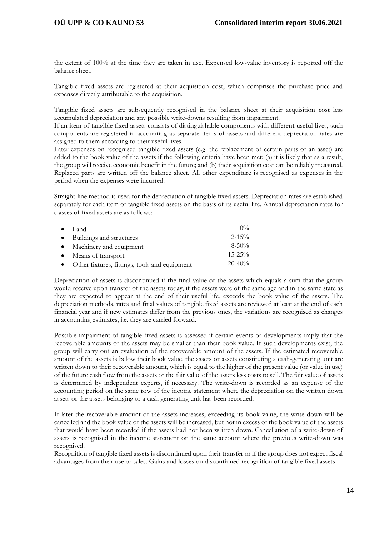the extent of 100% at the time they are taken in use. Expensed low-value inventory is reported off the balance sheet.

Tangible fixed assets are registered at their acquisition cost, which comprises the purchase price and expenses directly attributable to the acquisition.

Tangible fixed assets are subsequently recognised in the balance sheet at their acquisition cost less accumulated depreciation and any possible write-downs resulting from impairment.

If an item of tangible fixed assets consists of distinguishable components with different useful lives, such components are registered in accounting as separate items of assets and different depreciation rates are assigned to them according to their useful lives.

Later expenses on recognised tangible fixed assets (e.g. the replacement of certain parts of an asset) are added to the book value of the assets if the following criteria have been met: (a) it is likely that as a result, the group will receive economic benefit in the future; and (b) their acquisition cost can be reliably measured. Replaced parts are written off the balance sheet. All other expenditure is recognised as expenses in the period when the expenses were incurred.

Straight-line method is used for the depreciation of tangible fixed assets. Depreciation rates are established separately for each item of tangible fixed assets on the basis of its useful life. Annual depreciation rates for classes of fixed assets are as follows:

| $\bullet$ Land                                  | $0\%$       |
|-------------------------------------------------|-------------|
| • Buildings and structures                      | $2 - 15\%$  |
| • Machinery and equipment                       | $8 - 50\%$  |
| • Means of transport                            | $15 - 25\%$ |
| • Other fixtures, fittings, tools and equipment | $20 - 40\%$ |

Depreciation of assets is discontinued if the final value of the assets which equals a sum that the group would receive upon transfer of the assets today, if the assets were of the same age and in the same state as they are expected to appear at the end of their useful life, exceeds the book value of the assets. The depreciation methods, rates and final values of tangible fixed assets are reviewed at least at the end of each financial year and if new estimates differ from the previous ones, the variations are recognised as changes in accounting estimates, i.e. they are carried forward.

Possible impairment of tangible fixed assets is assessed if certain events or developments imply that the recoverable amounts of the assets may be smaller than their book value. If such developments exist, the group will carry out an evaluation of the recoverable amount of the assets. If the estimated recoverable amount of the assets is below their book value, the assets or assets constituting a cash-generating unit are written down to their recoverable amount, which is equal to the higher of the present value (or value in use) of the future cash flow from the assets or the fair value of the assets less costs to sell. The fair value of assets is determined by independent experts, if necessary. The write-down is recorded as an expense of the accounting period on the same row of the income statement where the depreciation on the written down assets or the assets belonging to a cash generating unit has been recorded.

If later the recoverable amount of the assets increases, exceeding its book value, the write-down will be cancelled and the book value of the assets will be increased, but not in excess of the book value of the assets that would have been recorded if the assets had not been written down. Cancellation of a write-down of assets is recognised in the income statement on the same account where the previous write-down was recognised.

Recognition of tangible fixed assets is discontinued upon their transfer or if the group does not expect fiscal advantages from their use or sales. Gains and losses on discontinued recognition of tangible fixed assets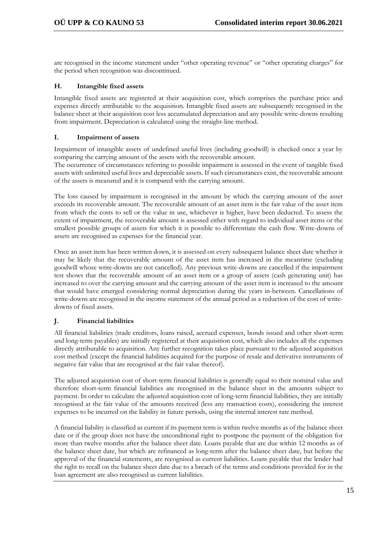are recognised in the income statement under "other operating revenue" or "other operating charges" for the period when recognition was discontinued.

## **H. Intangible fixed assets**

Intangible fixed assets are registered at their acquisition cost, which comprises the purchase price and expenses directly attributable to the acquisition. Intangible fixed assets are subsequently recognised in the balance sheet at their acquisition cost less accumulated depreciation and any possible write-downs resulting from impairment. Depreciation is calculated using the straight-line method.

## **I. Impairment of assets**

Impairment of intangible assets of undefined useful lives (including goodwill) is checked once a year by comparing the carrying amount of the assets with the recoverable amount.

The occurrence of circumstances referring to possible impairment is assessed in the event of tangible fixed assets with unlimited useful lives and depreciable assets. If such circumstances exist, the recoverable amount of the assets is measured and it is compared with the carrying amount.

The loss caused by impairment is recognised in the amount by which the carrying amount of the asset exceeds its recoverable amount. The recoverable amount of an asset item is the fair value of the asset item from which the costs to sell or the value in use, whichever is higher, have been deducted. To assess the extent of impairment, the recoverable amount is assessed either with regard to individual asset items or the smallest possible groups of assets for which it is possible to differentiate the cash flow. Write-downs of assets are recognised as expenses for the financial year.

Once an asset item has been written down, it is assessed on every subsequent balance sheet date whether it may be likely that the recoverable amount of the asset item has increased in the meantime (excluding goodwill whose write-downs are not cancelled). Any previous write-downs are cancelled if the impairment test shows that the recoverable amount of an asset item or a group of assets (cash generating unit) has increased to over the carrying amount and the carrying amount of the asset item is increased to the amount that would have emerged considering normal depreciation during the years in-between. Cancellations of write-downs are recognised in the income statement of the annual period as a reduction of the cost of writedowns of fixed assets.

## **J. Financial liabilities**

All financial liabilities (trade creditors, loans raised, accrued expenses, bonds issued and other short-term and long-term payables) are initially registered at their acquisition cost, which also includes all the expenses directly attributable to acquisition. Any further recognition takes place pursuant to the adjusted acquisition cost method (except the financial liabilities acquired for the purpose of resale and derivative instruments of negative fair value that are recognised at the fair value thereof).

The adjusted acquisition cost of short-term financial liabilities is generally equal to their nominal value and therefore short-term financial liabilities are recognised in the balance sheet in the amounts subject to payment. In order to calculate the adjusted acquisition cost of long-term financial liabilities, they are initially recognised at the fair value of the amounts received (less any transaction costs), considering the interest expenses to be incurred on the liability in future periods, using the internal interest rate method.

A financial liability is classified as current if its payment term is within twelve months as of the balance sheet date or if the group does not have the unconditional right to postpone the payment of the obligation for more than twelve months after the balance sheet date. Loans payable that are due within 12 months as of the balance sheet date, but which are refinanced as long-term after the balance sheet date, but before the approval of the financial statements, are recognised as current liabilities. Loans payable that the lender had the right to recall on the balance sheet date due to a breach of the terms and conditions provided for in the loan agreement are also recognised as current liabilities.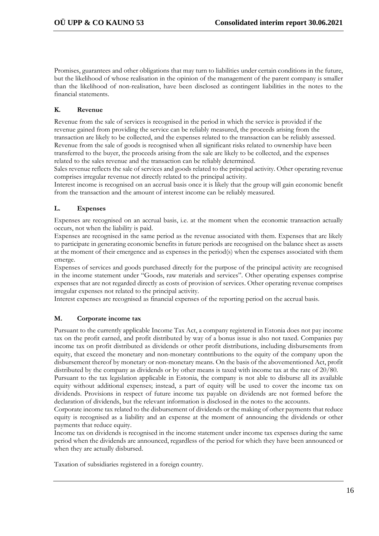Promises, guarantees and other obligations that may turn to liabilities under certain conditions in the future, but the likelihood of whose realisation in the opinion of the management of the parent company is smaller than the likelihood of non-realisation, have been disclosed as contingent liabilities in the notes to the financial statements.

## **K. Revenue**

Revenue from the sale of services is recognised in the period in which the service is provided if the revenue gained from providing the service can be reliably measured, the proceeds arising from the transaction are likely to be collected, and the expenses related to the transaction can be reliably assessed. Revenue from the sale of goods is recognised when all significant risks related to ownership have been transferred to the buyer, the proceeds arising from the sale are likely to be collected, and the expenses related to the sales revenue and the transaction can be reliably determined.

Sales revenue reflects the sale of services and goods related to the principal activity. Other operating revenue comprises irregular revenue not directly related to the principal activity.

Interest income is recognised on an accrual basis once it is likely that the group will gain economic benefit from the transaction and the amount of interest income can be reliably measured.

## **L. Expenses**

Expenses are recognised on an accrual basis, i.e. at the moment when the economic transaction actually occurs, not when the liability is paid.

Expenses are recognised in the same period as the revenue associated with them. Expenses that are likely to participate in generating economic benefits in future periods are recognised on the balance sheet as assets at the moment of their emergence and as expenses in the period(s) when the expenses associated with them emerge.

Expenses of services and goods purchased directly for the purpose of the principal activity are recognised in the income statement under "Goods, raw materials and services". Other operating expenses comprise expenses that are not regarded directly as costs of provision of services. Other operating revenue comprises irregular expenses not related to the principal activity.

Interest expenses are recognised as financial expenses of the reporting period on the accrual basis.

## **M. Corporate income tax**

Pursuant to the currently applicable Income Tax Act, a company registered in Estonia does not pay income tax on the profit earned, and profit distributed by way of a bonus issue is also not taxed. Companies pay income tax on profit distributed as dividends or other profit distributions, including disbursements from equity, that exceed the monetary and non-monetary contributions to the equity of the company upon the disbursement thereof by monetary or non-monetary means. On the basis of the abovementioned Act, profit distributed by the company as dividends or by other means is taxed with income tax at the rate of 20/80.

Pursuant to the tax legislation applicable in Estonia, the company is not able to disburse all its available equity without additional expenses; instead, a part of equity will be used to cover the income tax on dividends. Provisions in respect of future income tax payable on dividends are not formed before the declaration of dividends, but the relevant information is disclosed in the notes to the accounts.

Corporate income tax related to the disbursement of dividends or the making of other payments that reduce equity is recognised as a liability and an expense at the moment of announcing the dividends or other payments that reduce equity.

Income tax on dividends is recognised in the income statement under income tax expenses during the same period when the dividends are announced, regardless of the period for which they have been announced or when they are actually disbursed.

Taxation of subsidiaries registered in a foreign country.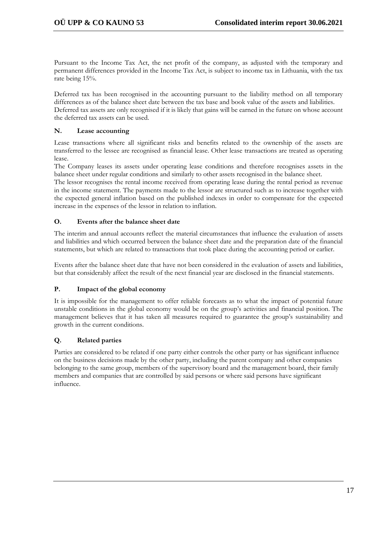Pursuant to the Income Tax Act, the net profit of the company, as adjusted with the temporary and permanent differences provided in the Income Tax Act, is subject to income tax in Lithuania, with the tax rate being 15%.

Deferred tax has been recognised in the accounting pursuant to the liability method on all temporary differences as of the balance sheet date between the tax base and book value of the assets and liabilities. Deferred tax assets are only recognised if it is likely that gains will be earned in the future on whose account the deferred tax assets can be used.

## **N. Lease accounting**

Lease transactions where all significant risks and benefits related to the ownership of the assets are transferred to the lessee are recognised as financial lease. Other lease transactions are treated as operating lease.

The Company leases its assets under operating lease conditions and therefore recognises assets in the balance sheet under regular conditions and similarly to other assets recognised in the balance sheet.

The lessor recognises the rental income received from operating lease during the rental period as revenue in the income statement. The payments made to the lessor are structured such as to increase together with the expected general inflation based on the published indexes in order to compensate for the expected increase in the expenses of the lessor in relation to inflation.

## **O. Events after the balance sheet date**

The interim and annual accounts reflect the material circumstances that influence the evaluation of assets and liabilities and which occurred between the balance sheet date and the preparation date of the financial statements, but which are related to transactions that took place during the accounting period or earlier.

Events after the balance sheet date that have not been considered in the evaluation of assets and liabilities, but that considerably affect the result of the next financial year are disclosed in the financial statements.

## **P. Impact of the global economy**

It is impossible for the management to offer reliable forecasts as to what the impact of potential future unstable conditions in the global economy would be on the group's activities and financial position. The management believes that it has taken all measures required to guarantee the group's sustainability and growth in the current conditions.

## **Q. Related parties**

Parties are considered to be related if one party either controls the other party or has significant influence on the business decisions made by the other party, including the parent company and other companies belonging to the same group, members of the supervisory board and the management board, their family members and companies that are controlled by said persons or where said persons have significant influence.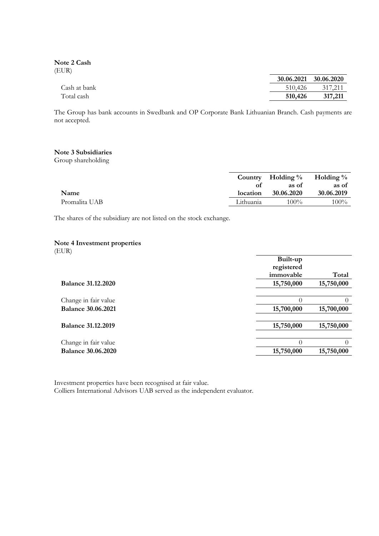**Note 2 Cash** (EUR)

|              |         | 30.06.2021 30.06.2020 |
|--------------|---------|-----------------------|
| Cash at bank | 510,426 | 317.211               |
| Total cash   | 510,426 | 317,211               |

The Group has bank accounts in Swedbank and OP Corporate Bank Lithuanian Branch. Cash payments are not accepted.

## **Note 3 Subsidiaries**

Group shareholding

|               |           | Country Holding $\%$ Holding $\%$ |            |
|---------------|-----------|-----------------------------------|------------|
|               | Ωt        | as of                             | as of      |
| Name          | location  | 30.06.2020                        | 30.06.2019 |
| Promalita UAB | Lithuania | $100\%$                           | $100\%$    |

The shares of the subsidiary are not listed on the stock exchange.

## **Note 4 Investment properties**

(EUR)

|                           | Built-up   |            |
|---------------------------|------------|------------|
|                           | registered |            |
|                           | immovable  | Total      |
| <b>Balance 31.12.2020</b> | 15,750,000 | 15,750,000 |
|                           |            |            |
| Change in fair value      | $\Omega$   | $\theta$   |
| <b>Balance 30.06.2021</b> | 15,700,000 | 15,700,000 |
|                           |            |            |
| <b>Balance 31.12.2019</b> | 15,750,000 | 15,750,000 |
|                           |            |            |
| Change in fair value      | $\Omega$   | $\Omega$   |
| <b>Balance 30.06.2020</b> | 15,750,000 | 15,750,000 |
|                           |            |            |

Investment properties have been recognised at fair value. Colliers International Advisors UAB served as the independent evaluator.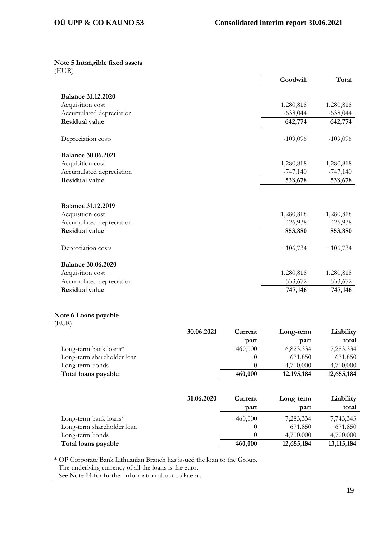**Note 5 Intangible fixed assets** (EUR)

|                           | Goodwill   | Total      |
|---------------------------|------------|------------|
|                           |            |            |
| <b>Balance 31.12.2020</b> |            |            |
| Acquisition cost          | 1,280,818  | 1,280,818  |
| Accumulated depreciation  | $-638,044$ | $-638,044$ |
| <b>Residual value</b>     | 642,774    | 642,774    |
|                           |            |            |
| Depreciation costs        | $-109,096$ | $-109,096$ |
|                           |            |            |
| <b>Balance 30.06.2021</b> |            |            |
| Acquisition cost          | 1,280,818  | 1,280,818  |
| Accumulated depreciation  | $-747,140$ | $-747,140$ |
| <b>Residual value</b>     | 533,678    | 533,678    |
|                           |            |            |
|                           |            |            |
| <b>Balance 31.12.2019</b> |            |            |
| Acquisition cost          | 1,280,818  | 1,280,818  |
| Accumulated depreciation  | $-426,938$ | $-426,938$ |
| <b>Residual value</b>     | 853,880    | 853,880    |
|                           | $-106,734$ | $-106,734$ |
| Depreciation costs        |            |            |
| <b>Balance 30.06.2020</b> |            |            |
| Acquisition cost          | 1,280,818  | 1,280,818  |
| Accumulated depreciation  | $-533,672$ | $-533,672$ |
| <b>Residual value</b>     | 747,146    | 747,146    |
|                           |            |            |
|                           |            |            |

## **Note 6 Loans payable** (EUR)

| 30.06.2021                 | Current | Long-term    | Liability  |
|----------------------------|---------|--------------|------------|
|                            | part    | part         | total      |
| Long-term bank loans $*$   | 460,000 | 6,823,334    | 7,283,334  |
| Long-term shareholder loan |         | 671,850      | 671,850    |
| Long-term bonds            |         | 4,700,000    | 4,700,000  |
| Total loans payable        | 460,000 | 12, 195, 184 | 12,655,184 |

|                            | 31.06.2020 | Current | Long-term  | Liability    |
|----------------------------|------------|---------|------------|--------------|
|                            |            | part    | part       | total        |
| Long-term bank loans $*$   |            | 460,000 | 7,283,334  | 7,743,343    |
| Long-term shareholder loan |            |         | 671,850    | 671,850      |
| Long-term bonds            |            |         | 4,700,000  | 4,700,000    |
| Total loans payable        |            | 460,000 | 12,655,184 | 13, 115, 184 |

\* OP Corporate Bank Lithuanian Branch has issued the loan to the Group. The underlying currency of all the loans is the euro.

See Note 14 for further information about collateral.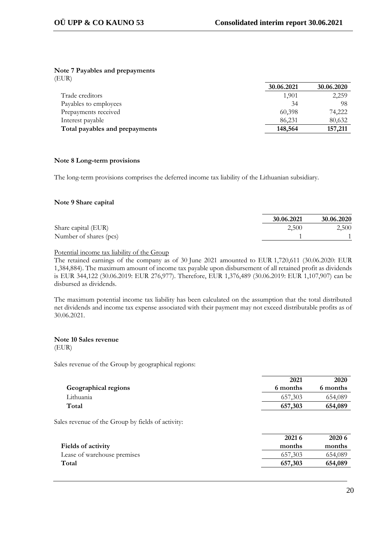## **Note 7 Payables and prepayments**

(EUR)

|                                | 30.06.2021 | 30.06.2020 |
|--------------------------------|------------|------------|
| Trade creditors                | 1,901      | 2,259      |
| Payables to employees          | 34         | 98         |
| Prepayments received           | 60,398     | 74,222     |
| Interest payable               | 86,231     | 80,632     |
| Total payables and prepayments | 148,564    | 157,211    |
|                                |            |            |

## **Note 8 Long-term provisions**

The long-term provisions comprises the deferred income tax liability of the Lithuanian subsidiary.

## **Note 9 Share capital**

|                        | 30.06.2021 | 30.06.2020 |
|------------------------|------------|------------|
| Share capital (EUR)    | 2.500      | 2,500      |
| Number of shares (pcs) |            |            |

## Potential income tax liability of the Group

The retained earnings of the company as of 30 June 2021 amounted to EUR 1,720,611 (30.06.2020: EUR 1,384,884). The maximum amount of income tax payable upon disbursement of all retained profit as dividends is EUR 344,122 (30.06.2019: EUR 276,977). Therefore, EUR 1,376,489 (30.06.2019: EUR 1,107,907) can be disbursed as dividends.

The maximum potential income tax liability has been calculated on the assumption that the total distributed net dividends and income tax expense associated with their payment may not exceed distributable profits as of 30.06.2021.

#### **Note 10 Sales revenue** (EUR)

Sales revenue of the Group by geographical regions:

|                                                   | 2021     | 2020     |
|---------------------------------------------------|----------|----------|
| Geographical regions                              | 6 months | 6 months |
| Lithuania                                         | 657,303  | 654,089  |
| Total                                             | 657,303  | 654,089  |
|                                                   |          |          |
| Sales revenue of the Group by fields of activity: |          |          |

|                             | 2021 6  | 2020 6  |
|-----------------------------|---------|---------|
| Fields of activity          | months  | months  |
| Lease of warehouse premises | 657.303 | 654,089 |
| Total                       | 657,303 | 654,089 |
|                             |         |         |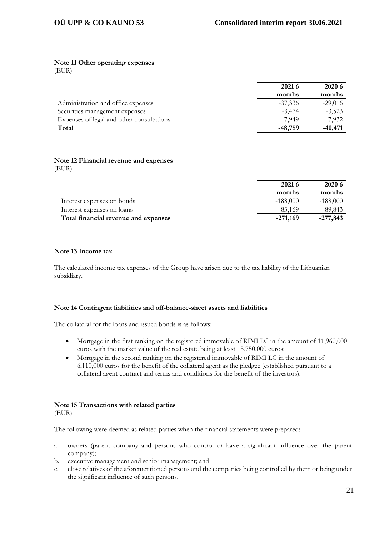#### **Note 11 Other operating expenses** (EUR)

|                                           | 2021 6    | 2020 6    |
|-------------------------------------------|-----------|-----------|
|                                           | months    | months    |
| Administration and office expenses        | $-37,336$ | $-29,016$ |
| Securities management expenses            | $-3,474$  | $-3,523$  |
| Expenses of legal and other consultations | $-7.949$  | $-7,932$  |
| Total                                     | $-48,759$ | $-40,471$ |

## **Note 12 Financial revenue and expenses** (EUR)

| 2021 6     | 2020 6     |
|------------|------------|
| months     | months     |
| $-188,000$ | $-188,000$ |
| $-83,169$  | $-89,843$  |
|            | $-277,843$ |
|            | $-271,169$ |

## **Note 13 Income tax**

The calculated income tax expenses of the Group have arisen due to the tax liability of the Lithuanian subsidiary.

## **Note 14 Contingent liabilities and off-balance-sheet assets and liabilities**

The collateral for the loans and issued bonds is as follows:

- Mortgage in the first ranking on the registered immovable of RIMI LC in the amount of 11,960,000 euros with the market value of the real estate being at least 15,750,000 euros;
- Mortgage in the second ranking on the registered immovable of RIMI LC in the amount of 6,110,000 euros for the benefit of the collateral agent as the pledgee (established pursuant to a collateral agent contract and terms and conditions for the benefit of the investors).

## **Note 15 Transactions with related parties** (EUR)

The following were deemed as related parties when the financial statements were prepared:

- a. owners (parent company and persons who control or have a significant influence over the parent company);
- b. executive management and senior management; and
- c. close relatives of the aforementioned persons and the companies being controlled by them or being under the significant influence of such persons.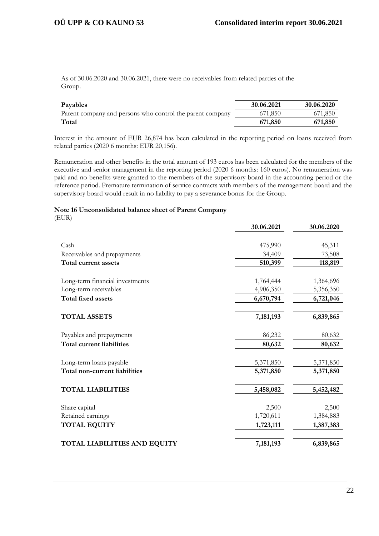As of 30.06.2020 and 30.06.2021, there were no receivables from related parties of the Group.

| Payables                                                  | 30.06.2021 | 30.06.2020 |
|-----------------------------------------------------------|------------|------------|
| Parent company and persons who control the parent company | 671,850    | 671,850    |
| Total                                                     | 671,850    | 671,850    |

Interest in the amount of EUR 26,874 has been calculated in the reporting period on loans received from related parties (2020 6 months: EUR 20,156).

Remuneration and other benefits in the total amount of 193 euros has been calculated for the members of the executive and senior management in the reporting period (2020 6 months: 160 euros). No remuneration was paid and no benefits were granted to the members of the supervisory board in the accounting period or the reference period. Premature termination of service contracts with members of the management board and the supervisory board would result in no liability to pay a severance bonus for the Group.

## **Note 16 Unconsolidated balance sheet of Parent Company**

(EUR)

|                                      | 30.06.2021 | 30.06.2020 |
|--------------------------------------|------------|------------|
|                                      |            |            |
| Cash                                 | 475,990    | 45,311     |
| Receivables and prepayments          | 34,409     | 73,508     |
| Total current assets                 | 510,399    | 118,819    |
| Long-term financial investments      | 1,764,444  | 1,364,696  |
| Long-term receivables                | 4,906,350  | 5,356,350  |
| <b>Total fixed assets</b>            | 6,670,794  | 6,721,046  |
| <b>TOTAL ASSETS</b>                  | 7,181,193  | 6,839,865  |
| Payables and prepayments             | 86,232     | 80,632     |
| Total current liabilities            | 80,632     | 80,632     |
| Long-term loans payable              | 5,371,850  | 5,371,850  |
| <b>Total non-current liabilities</b> | 5,371,850  | 5,371,850  |
| <b>TOTAL LIABILITIES</b>             | 5,458,082  | 5,452,482  |
| Share capital                        | 2,500      | 2,500      |
| Retained earnings                    | 1,720,611  | 1,384,883  |
| <b>TOTAL EQUITY</b>                  | 1,723,111  | 1,387,383  |
| TOTAL LIABILITIES AND EQUITY         | 7,181,193  | 6,839,865  |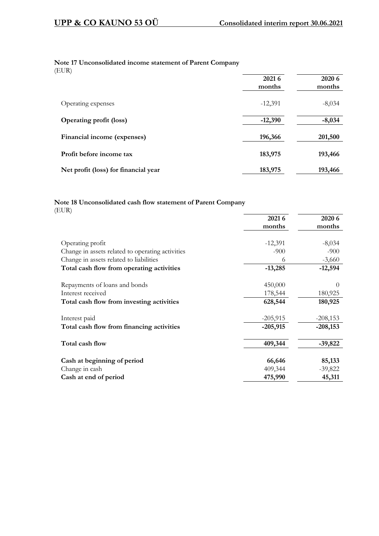## **Note 17 Unconsolidated income statement of Parent Company**

(EUR)

|                                      | 2021 6<br>months | 2020 6<br>months |
|--------------------------------------|------------------|------------------|
| Operating expenses                   | $-12,391$        | $-8,034$         |
| <b>Operating profit (loss)</b>       | $-12,390$        | $-8,034$         |
| Financial income (expenses)          | 196,366          | 201,500          |
| Profit before income tax             | 183,975          | 193,466          |
| Net profit (loss) for financial year | 183,975          | 193,466          |

## **Note 18 Unconsolidated cash flow statement of Parent Company** (EUR)

|                                                  | 2021 6     | 2020 6     |
|--------------------------------------------------|------------|------------|
|                                                  | months     | months     |
|                                                  |            |            |
| Operating profit                                 | $-12,391$  | $-8,034$   |
| Change in assets related to operating activities | $-900$     | $-900$     |
| Change in assets related to liabilities          | 6          | $-3,660$   |
| Total cash flow from operating activities        | $-13,285$  | $-12,594$  |
| Repayments of loans and bonds                    | 450,000    | $\theta$   |
| Interest received                                | 178,544    | 180,925    |
| Total cash flow from investing activities        | 628,544    | 180,925    |
| Interest paid                                    | $-205,915$ | $-208,153$ |
| Total cash flow from financing activities        | $-205,915$ | $-208,153$ |
| Total cash flow                                  | 409,344    | $-39,822$  |
| Cash at beginning of period                      | 66,646     | 85,133     |
| Change in cash                                   | 409,344    | $-39,822$  |
| Cash at end of period                            | 475,990    | 45,311     |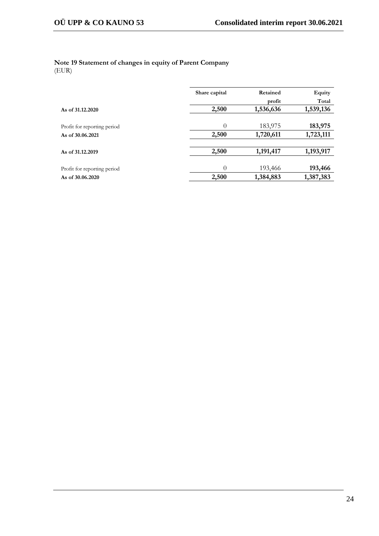#### **Note 19 Statement of changes in equity of Parent Company** (EUR)

|                             | Share capital | Retained  | Equity    |  |  |
|-----------------------------|---------------|-----------|-----------|--|--|
|                             |               | profit    | Total     |  |  |
| As of 31,12,2020            | 2,500         | 1,536,636 | 1,539,136 |  |  |
|                             |               |           |           |  |  |
| Profit for reporting period | $\theta$      | 183,975   | 183,975   |  |  |
| As of 30.06.2021            | 2,500         | 1,720,611 | 1,723,111 |  |  |
|                             |               |           |           |  |  |
| As of 31.12.2019            | 2,500         | 1,191,417 | 1,193,917 |  |  |
|                             |               |           |           |  |  |
| Profit for reporting period | $\theta$      | 193,466   | 193,466   |  |  |
| As of 30.06.2020            | 2,500         | 1,384,883 | 1,387,383 |  |  |